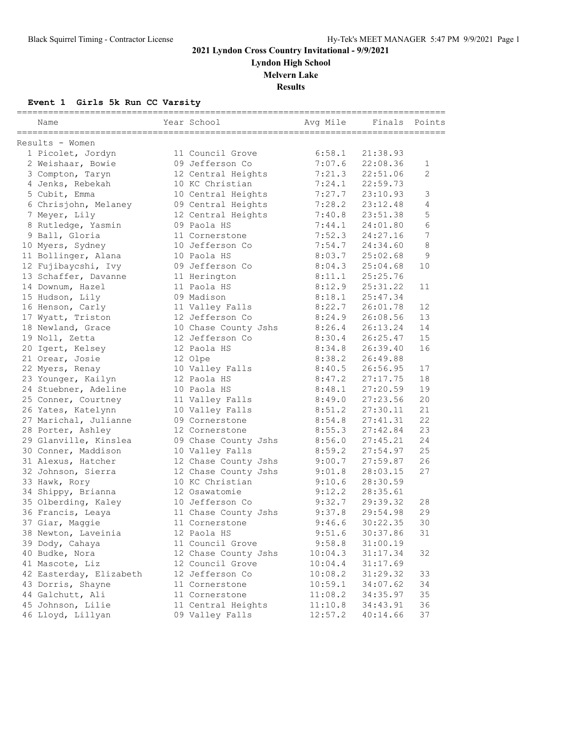**Lyndon High School**

**Melvern Lake**

**Results**

#### **Event 1 Girls 5k Run CC Varsity**

| Name                    | Year School          | Avg Mile | ===============<br>Finals | Points         |
|-------------------------|----------------------|----------|---------------------------|----------------|
| Results - Women         |                      |          |                           |                |
| 1 Picolet, Jordyn       | 11 Council Grove     | 6:58.1   | 21:38.93                  |                |
| 2 Weishaar, Bowie       | 09 Jefferson Co      | 7:07.6   | 22:08.36                  | 1              |
| 3 Compton, Taryn        | 12 Central Heights   | 7:21.3   | 22:51.06                  | $\overline{2}$ |
| 4 Jenks, Rebekah        | 10 KC Christian      | 7:24.1   | 22:59.73                  |                |
| 5 Cubit, Emma           | 10 Central Heights   | 7:27.7   | 23:10.93                  | 3              |
| 6 Chrisjohn, Melaney    | 09 Central Heights   | 7:28.2   | 23:12.48                  | 4              |
| 7 Meyer, Lily           | 12 Central Heights   | 7:40.8   | 23:51.38                  | 5              |
| 8 Rutledge, Yasmin      | 09 Paola HS          | 7:44.1   | 24:01.80                  | 6              |
| 9 Ball, Gloria          | 11 Cornerstone       | 7:52.3   | 24:27.16                  | 7              |
| 10 Myers, Sydney        | 10 Jefferson Co      | 7:54.7   | 24:34.60                  | 8              |
| 11 Bollinger, Alana     | 10 Paola HS          | 8:03.7   | 25:02.68                  | 9              |
| 12 Fujibaycshi, Ivy     | 09 Jefferson Co      | 8:04.3   | 25:04.68                  | 10             |
| 13 Schaffer, Davanne    | 11 Herington         | 8:11.1   | 25:25.76                  |                |
| 14 Downum, Hazel        | 11 Paola HS          | 8:12.9   | 25:31.22                  | 11             |
| 15 Hudson, Lily         | 09 Madison           | 8:18.1   | 25:47.34                  |                |
| 16 Henson, Carly        | 11 Valley Falls      | 8:22.7   | 26:01.78                  | 12             |
| 17 Wyatt, Triston       | 12 Jefferson Co      | 8:24.9   | 26:08.56                  | 13             |
| 18 Newland, Grace       | 10 Chase County Jshs | 8:26.4   | 26:13.24                  | 14             |
| 19 Noll, Zetta          | 12 Jefferson Co      | 8:30.4   | 26:25.47                  | 15             |
| 20 Igert, Kelsey        | 12 Paola HS          | 8:34.8   | 26:39.40                  | 16             |
| 21 Orear, Josie         | 12 Olpe              | 8:38.2   | 26:49.88                  |                |
| 22 Myers, Renay         | 10 Valley Falls      | 8:40.5   | 26:56.95                  | 17             |
| 23 Younger, Kailyn      | 12 Paola HS          | 8:47.2   | 27:17.75                  | 18             |
| 24 Stuebner, Adeline    | 10 Paola HS          | 8:48.1   | 27:20.59                  | 19             |
| 25 Conner, Courtney     | 11 Valley Falls      | 8:49.0   | 27:23.56                  | 20             |
| 26 Yates, Katelynn      | 10 Valley Falls      | 8:51.2   | 27:30.11                  | 21             |
| 27 Marichal, Julianne   | 09 Cornerstone       | 8:54.8   | 27:41.31                  | 22             |
| 28 Porter, Ashley       | 12 Cornerstone       | 8:55.3   | 27:42.84                  | 23             |
| 29 Glanville, Kinslea   | 09 Chase County Jshs | 8:56.0   | 27:45.21                  | 24             |
| 30 Conner, Maddison     | 10 Valley Falls      | 8:59.2   | 27:54.97                  | 25             |
| 31 Alexus, Hatcher      | 12 Chase County Jshs | 9:00.7   | 27:59.87                  | 26             |
| 32 Johnson, Sierra      | 12 Chase County Jshs | 9:01.8   | 28:03.15                  | 27             |
| 33 Hawk, Rory           | 10 KC Christian      | 9:10.6   | 28:30.59                  |                |
| 34 Shippy, Brianna      | 12 Osawatomie        | 9:12.2   | 28:35.61                  |                |
| 35 Olberding, Kaley     | 10 Jefferson Co      | 9:32.7   | 29:39.32                  | 28             |
| 36 Francis, Leaya       | 11 Chase County Jshs | 9:37.8   | 29:54.98                  | 29             |
| 37 Giar, Maggie         | 11 Cornerstone       | 9:46.6   | 30:22.35                  | 30             |
| 38 Newton, Laveinia     | 12 Paola HS          | 9:51.6   | 30:37.86                  | 31             |
| 39 Dody, Cahaya         | 11 Council Grove     | 9:58.8   | 31:00.19                  |                |
| 40 Budke, Nora          | 12 Chase County Jshs | 10:04.3  | 31:17.34                  | 32             |
| 41 Mascote, Liz         | 12 Council Grove     | 10:04.4  | 31:17.69                  |                |
| 42 Easterday, Elizabeth | 12 Jefferson Co      | 10:08.2  | 31:29.32                  | 33             |
| 43 Dorris, Shayne       | 11 Cornerstone       | 10:59.1  | 34:07.62                  | 34             |
| 44 Galchutt, Ali        | 11 Cornerstone       | 11:08.2  | 34:35.97                  | 35             |
| 45 Johnson, Lilie       | 11 Central Heights   | 11:10.8  | 34:43.91                  | 36             |
| 46 Lloyd, Lillyan       | 09 Valley Falls      | 12:57.2  | 40:14.66                  | 37             |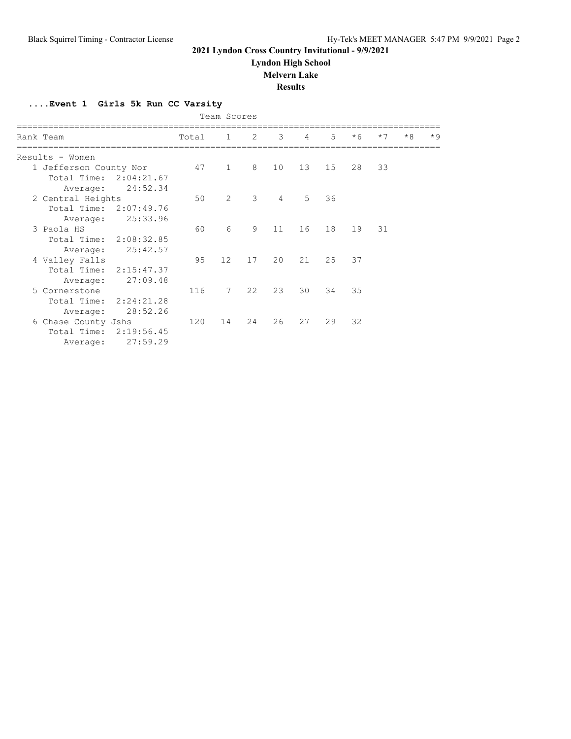**Lyndon High School**

#### **Melvern Lake**

**Results**

**....Event 1 Girls 5k Run CC Varsity**

| Team Scores                                                  |          |           |                 |    |                |                |                |      |      |      |      |
|--------------------------------------------------------------|----------|-----------|-----------------|----|----------------|----------------|----------------|------|------|------|------|
| Rank Team                                                    |          | Total 1 2 |                 |    | 3              | $\overline{4}$ | 5 <sup>1</sup> | $*6$ | $*7$ | $*8$ | $*9$ |
| Results - Women                                              |          |           |                 |    |                |                |                |      |      |      |      |
| 1 Jefferson County Nor<br>Total Time: 2:04:21.67<br>Average: | 24:52.34 | 47        | $\mathbf{1}$    | 8  | 10             | 13             | 15             | 28   | 33   |      |      |
| 2 Central Heights<br>Total Time: 2:07:49.76<br>Average:      | 25:33.96 | 50        | $\overline{2}$  | 3  | $\overline{4}$ | 5              | 36             |      |      |      |      |
| 3 Paola HS<br>Total Time: 2:08:32.85<br>Average:             | 25:42.57 | 60        | 6               | 9  | 11             | 16             | 18             | 19   | 31   |      |      |
| 4 Valley Falls<br>Total Time: 2:15:47.37<br>Average:         | 27:09.48 | 95        | 12 <sup>°</sup> | 17 | 20             | 21             | 25             | 37   |      |      |      |
| 5 Cornerstone<br>Total Time: 2:24:21.28<br>Average:          | 28:52.26 | 116       | $7\phantom{.0}$ | 22 | 23             | 30             | 34             | 35   |      |      |      |
| 6 Chase County Jshs<br>Total Time: 2:19:56.45<br>Average:    | 27:59.29 | 120       | 14              | 24 | 26             | 27             | 29             | 32   |      |      |      |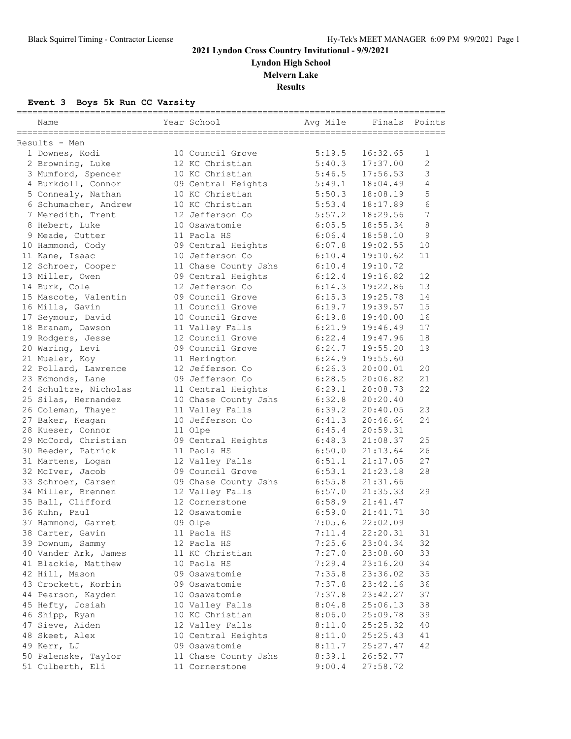**Lyndon High School**

**Melvern Lake**

**Results**

## **Event 3 Boys 5k Run CC Varsity**

| Name                  | Year School          | Avq Mile | Finals   | Points         |
|-----------------------|----------------------|----------|----------|----------------|
| Results - Men         |                      |          |          |                |
| 1 Downes, Kodi        | 10 Council Grove     | 5:19.5   | 16:32.65 | 1              |
| 2 Browning, Luke      | 12 KC Christian      | 5:40.3   | 17:37.00 | $\overline{c}$ |
| 3 Mumford, Spencer    | 10 KC Christian      | 5:46.5   | 17:56.53 | 3              |
| 4 Burkdoll, Connor    | 09 Central Heights   | 5:49.1   | 18:04.49 | 4              |
| 5 Connealy, Nathan    | 10 KC Christian      | 5:50.3   | 18:08.19 | 5              |
| 6 Schumacher, Andrew  | 10 KC Christian      | 5:53.4   | 18:17.89 | 6              |
| 7 Meredith, Trent     | 12 Jefferson Co      | 5:57.2   | 18:29.56 | 7              |
| 8 Hebert, Luke        | 10 Osawatomie        | 6:05.5   | 18:55.34 | 8              |
| 9 Meade, Cutter       | 11 Paola HS          | 6:06.4   | 18:58.10 | 9              |
| 10 Hammond, Cody      | 09 Central Heights   | 6:07.8   | 19:02.55 | 10             |
| 11 Kane, Isaac        | 10 Jefferson Co      | 6:10.4   | 19:10.62 | 11             |
| 12 Schroer, Cooper    | 11 Chase County Jshs | 6:10.4   | 19:10.72 |                |
| 13 Miller, Owen       | 09 Central Heights   | 6:12.4   | 19:16.82 | 12             |
| 14 Burk, Cole         | 12 Jefferson Co      | 6:14.3   | 19:22.86 | 13             |
| 15 Mascote, Valentin  | 09 Council Grove     | 6:15.3   | 19:25.78 | 14             |
| 16 Mills, Gavin       | 11 Council Grove     | 6:19.7   | 19:39.57 | 15             |
| 17 Seymour, David     | 10 Council Grove     | 6:19.8   | 19:40.00 | 16             |
| 18 Branam, Dawson     | 11 Valley Falls      | 6:21.9   | 19:46.49 | 17             |
| 19 Rodgers, Jesse     | 12 Council Grove     | 6:22.4   | 19:47.96 | 18             |
| 20 Waring, Levi       | 09 Council Grove     | 6:24.7   | 19:55.20 | 19             |
| 21 Mueler, Koy        | 11 Herington         | 6:24.9   | 19:55.60 |                |
| 22 Pollard, Lawrence  | 12 Jefferson Co      | 6:26.3   | 20:00.01 | 20             |
| 23 Edmonds, Lane      | 09 Jefferson Co      | 6:28.5   | 20:06.82 | 21             |
| 24 Schultze, Nicholas | 11 Central Heights   | 6:29.1   | 20:08.73 | 22             |
| 25 Silas, Hernandez   | 10 Chase County Jshs | 6:32.8   | 20:20.40 |                |
| 26 Coleman, Thayer    | 11 Valley Falls      | 6:39.2   | 20:40.05 | 23             |
| 27 Baker, Keagan      | 10 Jefferson Co      | 6:41.3   | 20:46.64 | 24             |
| 28 Kueser, Connor     | 11 Olpe              | 6:45.4   | 20:59.31 |                |
| 29 McCord, Christian  | 09 Central Heights   | 6:48.3   | 21:08.37 | 25             |
| 30 Reeder, Patrick    | 11 Paola HS          | 6:50.0   | 21:13.64 | 26             |
| 31 Martens, Logan     | 12 Valley Falls      | 6:51.1   | 21:17.05 | 27             |
| 32 McIver, Jacob      | 09 Council Grove     | 6:53.1   | 21:23.18 | 28             |
| 33 Schroer, Carsen    | 09 Chase County Jshs | 6:55.8   | 21:31.66 |                |
| 34 Miller, Brennen    | 12 Valley Falls      | 6:57.0   | 21:35.33 | 29             |
| 35 Ball, Clifford     | 12 Cornerstone       | 6:58.9   | 21:41.47 |                |
| 36 Kuhn, Paul         | 12 Osawatomie        | 6:59.0   | 21:41.71 | 30             |
| 37 Hammond, Garret    | 09 Olpe              | 7:05.6   | 22:02.09 |                |
| 38 Carter, Gavin      | 11 Paola HS          | 7:11.4   | 22:20.31 | 31             |
| 39 Downum, Sammy      | 12 Paola HS          | 7:25.6   | 23:04.34 | 32             |
| 40 Vander Ark, James  | 11 KC Christian      | 7:27.0   | 23:08.60 | 33             |
| 41 Blackie, Matthew   | 10 Paola HS          | 7:29.4   | 23:16.20 | 34             |
| 42 Hill, Mason        | 09 Osawatomie        | 7:35.8   | 23:36.02 | 35             |
| 43 Crockett, Korbin   | 09 Osawatomie        | 7:37.8   | 23:42.16 | 36             |
| 44 Pearson, Kayden    | 10 Osawatomie        | 7:37.8   | 23:42.27 | 37             |
| 45 Hefty, Josiah      | 10 Valley Falls      | 8:04.8   | 25:06.13 | 38             |
| 46 Shipp, Ryan        | 10 KC Christian      | 8:06.0   | 25:09.78 | 39             |
| 47 Sieve, Aiden       | 12 Valley Falls      | 8:11.0   | 25:25.32 | 40             |
| 48 Skeet, Alex        | 10 Central Heights   | 8:11.0   | 25:25.43 | 41             |
| 49 Kerr, LJ           | 09 Osawatomie        | 8:11.7   | 25:27.47 | 42             |
| 50 Palenske, Taylor   | 11 Chase County Jshs | 8:39.1   | 26:52.77 |                |
| 51 Culberth, Eli      | 11 Cornerstone       | 9:00.4   | 27:58.72 |                |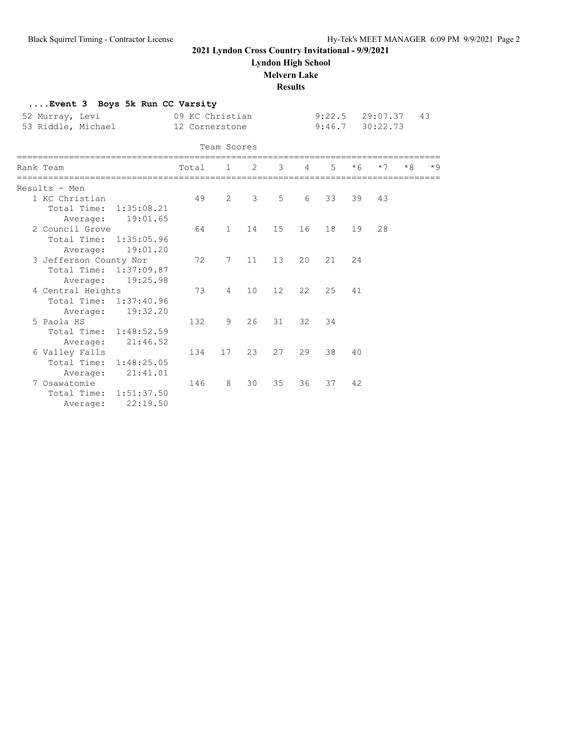**....Event 3 Boys 5k Run CC Varsity**

## **2021 Lyndon Cross Country Invitational - 9/9/2021**

**Lyndon High School**

#### **Melvern Lake**

**Results**

| 52 Murray, Levi<br>53 Riddle, Michael                                          |                        | 09 KC Christian<br>12 Cornerstone |                |               |    |          | 9:22.5<br>9:46.7 |      | 29:07.37<br>30:22.73 |      | 43   |
|--------------------------------------------------------------------------------|------------------------|-----------------------------------|----------------|---------------|----|----------|------------------|------|----------------------|------|------|
|                                                                                |                        |                                   | Team Scores    |               |    |          |                  |      |                      |      |      |
| ===================================<br>Rank Team<br>========================== |                        | Total                             |                | $1 \t 2$      |    | $3 \t 4$ | $5^{\circ}$      | $*6$ | $*7$                 | $*R$ | $*9$ |
| Results - Men                                                                  |                        |                                   |                |               |    |          |                  |      |                      |      |      |
| 1 KC Christian<br>Total Time: 1:35:08.21<br>Average: 19:01.65                  |                        | 49                                | $\overline{2}$ | $\mathcal{E}$ | 5  | 6        | 33               | 39   | 43                   |      |      |
| 2 Council Grove<br>Total Time: 1:35:05.96<br>Average:                          | 19:01.20               | 64                                | $\mathbf{1}$   | 14            | 15 | 16       | 18               | 19   | 28                   |      |      |
| 3 Jefferson County Nor<br>Total Time: 1:37:09.87<br>Average:                   | 19:25.98               | 72                                | 7              | 11            | 13 | 20       | 21               | 24   |                      |      |      |
| 4 Central Heights<br>Total Time: 1:37:40.96<br>Average:                        | 19:32.20               | 73                                | $\overline{4}$ | 10            | 12 | 22       | 2.5              | 41   |                      |      |      |
| 5 Paola HS<br>Total Time: 1:48:52.59<br>Average:                               | 21:46.52               | 132                               | 9              | 26            | 31 | 32       | 34               |      |                      |      |      |
| 6 Valley Falls<br>Total Time: 1:48:25.05<br>Average:                           | 21:41.01               | 134                               | 17             | 23            | 27 | 29       | 38               | 40   |                      |      |      |
| 7 Osawatomie<br>Total Time:<br>Average:                                        | 1:51:37.50<br>22:19.50 | 146                               | 8              | 30            | 35 | 36       | 37               | 42   |                      |      |      |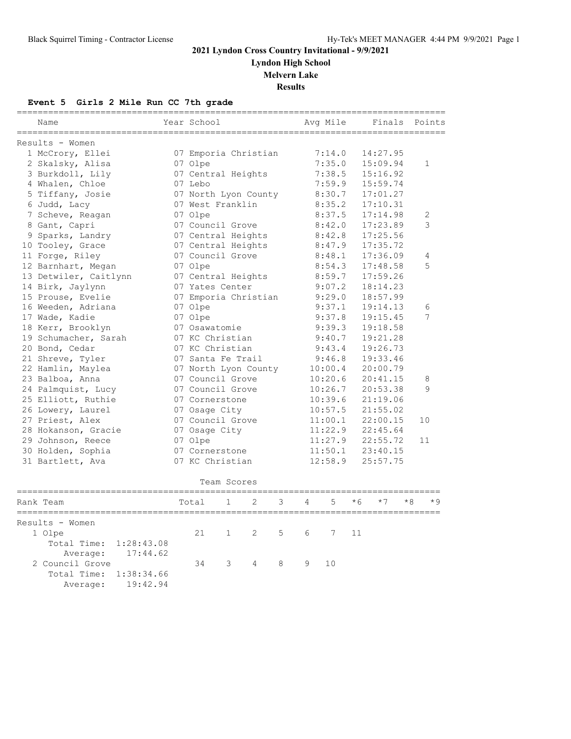**Lyndon High School**

**Melvern Lake**

**Results**

## **Event 5 Girls 2 Mile Run CC 7th grade**

| Name                      | ==========<br>Year School |              |                      |   | ---------------------- | Avg Mile |      | Finals   |      | ==============<br>Points |
|---------------------------|---------------------------|--------------|----------------------|---|------------------------|----------|------|----------|------|--------------------------|
| Results - Women           |                           |              |                      |   |                        |          |      |          |      |                          |
| 1 McCrory, Ellei          |                           |              | 07 Emporia Christian |   |                        | 7:14.0   |      | 14:27.95 |      |                          |
| 2 Skalsky, Alisa          | 07 Olpe                   |              |                      |   |                        | 7:35.0   |      | 15:09.94 |      | $\mathbf{1}$             |
| 3 Burkdoll, Lily          |                           |              | 07 Central Heights   |   |                        | 7:38.5   |      | 15:16.92 |      |                          |
| 4 Whalen, Chloe           | 07 Lebo                   |              |                      |   |                        | 7:59.9   |      | 15:59.74 |      |                          |
| 5 Tiffany, Josie          |                           |              | 07 North Lyon County |   |                        | 8:30.7   |      | 17:01.27 |      |                          |
| 6 Judd, Lacy              | 07 West Franklin          |              |                      |   |                        | 8:35.2   |      | 17:10.31 |      |                          |
| 7 Scheve, Reagan          | 07 Olpe                   |              |                      |   |                        | 8:37.5   |      | 17:14.98 |      | 2                        |
| 8 Gant, Capri             | 07 Council Grove          |              |                      |   |                        | 8:42.0   |      | 17:23.89 |      | 3                        |
| 9 Sparks, Landry          |                           |              | 07 Central Heights   |   |                        | 8:42.8   |      | 17:25.56 |      |                          |
| 10 Tooley, Grace          |                           |              | 07 Central Heights   |   |                        | 8:47.9   |      | 17:35.72 |      |                          |
| 11 Forge, Riley           | 07 Council Grove          |              |                      |   |                        | 8:48.1   |      | 17:36.09 |      | 4                        |
| 12 Barnhart, Megan        | 07 Olpe                   |              |                      |   |                        | 8:54.3   |      | 17:48.58 |      | 5                        |
| 13 Detwiler, Caitlynn     |                           |              | 07 Central Heights   |   |                        | 8:59.7   |      | 17:59.26 |      |                          |
| 14 Birk, Jaylynn          | 07 Yates Center           |              |                      |   |                        | 9:07.2   |      | 18:14.23 |      |                          |
| 15 Prouse, Evelie         |                           |              | 07 Emporia Christian |   |                        | 9:29.0   |      | 18:57.99 |      |                          |
| 16 Weeden, Adriana        | 07 Olpe                   |              |                      |   |                        | 9:37.1   |      | 19:14.13 |      | 6                        |
| 17 Wade, Kadie            | 07 Olpe                   |              |                      |   |                        | 9:37.8   |      | 19:15.45 |      | 7                        |
| 18 Kerr, Brooklyn         | 07 Osawatomie             |              |                      |   |                        | 9:39.3   |      | 19:18.58 |      |                          |
| 19 Schumacher, Sarah      | 07 KC Christian           |              |                      |   |                        | 9:40.7   |      | 19:21.28 |      |                          |
| 20 Bond, Cedar            | 07 KC Christian           |              |                      |   |                        | 9:43.4   |      | 19:26.73 |      |                          |
| 21 Shreve, Tyler          | 07 Santa Fe Trail         |              |                      |   |                        | 9:46.8   |      | 19:33.46 |      |                          |
| 22 Hamlin, Maylea         |                           |              | 07 North Lyon County |   |                        | 10:00.4  |      | 20:00.79 |      |                          |
| 23 Balboa, Anna           | 07 Council Grove          |              |                      |   |                        | 10:20.6  |      | 20:41.15 |      | 8                        |
| 24 Palmquist, Lucy        | 07 Council Grove          |              |                      |   |                        | 10:26.7  |      | 20:53.38 |      | $\circ$                  |
| 25 Elliott, Ruthie        | 07 Cornerstone            |              |                      |   |                        | 10:39.6  |      | 21:19.06 |      |                          |
| 26 Lowery, Laurel         | 07 Osage City             |              |                      |   |                        | 10:57.5  |      | 21:55.02 |      |                          |
| 27 Priest, Alex           | 07 Council Grove          |              |                      |   |                        | 11:00.1  |      | 22:00.15 |      | 10                       |
| 28 Hokanson, Gracie       | 07 Osage City             |              |                      |   |                        | 11:22.9  |      | 22:45.64 |      |                          |
| 29 Johnson, Reece         | 07 Olpe                   |              |                      |   |                        | 11:27.9  |      | 22:55.72 |      | 11                       |
| 30 Holden, Sophia         | 07 Cornerstone            |              |                      |   |                        | 11:50.1  |      | 23:40.15 |      |                          |
| 31 Bartlett, Ava          | 07 KC Christian           |              |                      |   |                        | 12:58.9  |      | 25:57.75 |      |                          |
|                           |                           |              | Team Scores          |   |                        |          |      |          |      |                          |
| Rank Team                 | Total                     | $\mathbf{1}$ | 2                    | 3 | 4                      | 5        | $*6$ | $*7$     | $*8$ | $*9$                     |
| Results - Women           |                           |              |                      |   |                        |          |      |          |      |                          |
| 1 Olpe                    | 21                        | 1            | 2                    | 5 | 6                      | 7        | 11   |          |      |                          |
| 1:28:43.08<br>Total Time: |                           |              |                      |   |                        |          |      |          |      |                          |
| 17:44.62<br>Average:      |                           |              |                      |   |                        |          |      |          |      |                          |
| 2 Council Grove           | 34                        | 3            | 4                    | 8 | 9                      | 10       |      |          |      |                          |
| Total Time:<br>1:38:34.66 |                           |              |                      |   |                        |          |      |          |      |                          |
| 19:42.94<br>Average:      |                           |              |                      |   |                        |          |      |          |      |                          |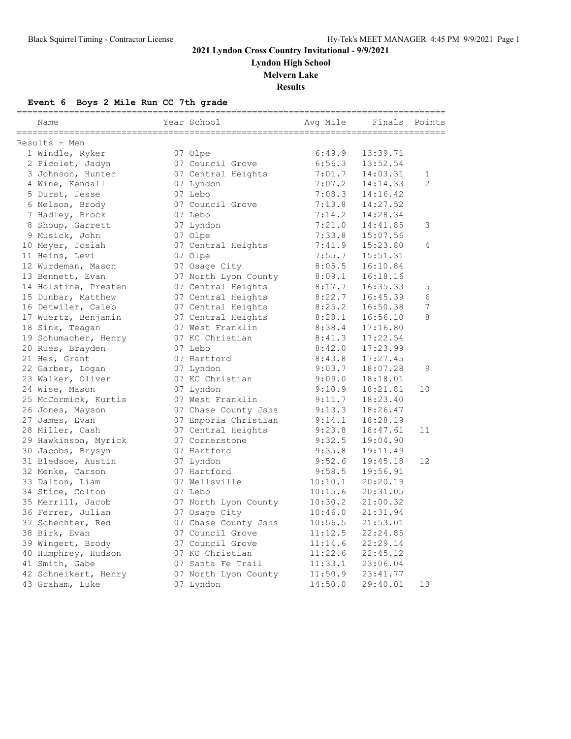**Lyndon High School**

**Melvern Lake**

**Results**

## **Event 6 Boys 2 Mile Run CC 7th grade**

| Name                 | Year School          | Avq Mile | Finals Points |                |
|----------------------|----------------------|----------|---------------|----------------|
| Results - Men        |                      |          |               |                |
| 1 Windle, Ryker      | 07 Olpe              | 6:49.9   | 13:39.71      |                |
| 2 Picolet, Jadyn     | 07 Council Grove     | 6:56.3   | 13:52.54      |                |
| 3 Johnson, Hunter    | 07 Central Heights   | 7:01.7   | 14:03.31      | 1              |
| 4 Wine, Kendall      | 07 Lyndon            | 7:07.2   | 14:14.33      | $\overline{2}$ |
| 5 Durst, Jesse       | 07 Lebo              | 7:08.3   | 14:16.42      |                |
| 6 Nelson, Brody      | 07 Council Grove     | 7:13.8   | 14:27.52      |                |
| 7 Hadley, Brock      | 07 Lebo              | 7:14.2   | 14:28.34      |                |
| 8 Shoup, Garrett     | 07 Lyndon            | 7:21.0   | 14:41.85      | 3              |
| 9 Musick, John       | 07 Olpe              | 7:33.8   | 15:07.56      |                |
| 10 Meyer, Josiah     | 07 Central Heights   | 7:41.9   | 15:23.80      | 4              |
| 11 Heins, Levi       | 07 Olpe              | 7:55.7   | 15:51.31      |                |
| 12 Wurdeman, Mason   | 07 Osage City        | 8:05.5   | 16:10.84      |                |
| 13 Bennett, Evan     | 07 North Lyon County | 8:09.1   | 16:18.16      |                |
| 14 Holstine, Presten | 07 Central Heights   | 8:17.7   | 16:35.33      | 5              |
| 15 Dunbar, Matthew   | 07 Central Heights   | 8:22.7   | 16:45.39      | 6              |
| 16 Detwiler, Caleb   | 07 Central Heights   | 8:25.2   | 16:50.38      | 7              |
| 17 Wuertz, Benjamin  | 07 Central Heights   | 8:28.1   | 16:56.10      | 8              |
| 18 Sink, Teagan      | 07 West Franklin     | 8:38.4   | 17:16.80      |                |
| 19 Schumacher, Henry | 07 KC Christian      | 8:41.3   | 17:22.54      |                |
| 20 Rues, Brayden     | 07 Lebo              | 8:42.0   | 17:23.99      |                |
| 21 Hes, Grant        | 07 Hartford          | 8:43.8   | 17:27.45      |                |
| 22 Garber, Logan     | 07 Lyndon            | 9:03.7   | 18:07.28      | 9              |
| 23 Walker, Oliver    | 07 KC Christian      | 9:09.0   | 18:18.01      |                |
| 24 Wise, Mason       | 07 Lyndon            | 9:10.9   | 18:21.81      | 10             |
| 25 McCormick, Kurtis | 07 West Franklin     | 9:11.7   | 18:23.40      |                |
| 26 Jones, Mayson     | 07 Chase County Jshs | 9:13.3   | 18:26.47      |                |
| 27 James, Evan       | 07 Emporia Christian | 9:14.1   | 18:28.19      |                |
| 28 Miller, Cash      | 07 Central Heights   | 9:23.8   | 18:47.61      | 11             |
| 29 Hawkinson, Myrick | 07 Cornerstone       | 9:32.5   | 19:04.90      |                |
| 30 Jacobs, Brysyn    | 07 Hartford          | 9:35.8   | 19:11.49      |                |
| 31 Bledsoe, Austin   | 07 Lyndon            | 9:52.6   | 19:45.18      | 12             |
| 32 Menke, Carson     | 07 Hartford          | 9:58.5   | 19:56.91      |                |
| 33 Dalton, Liam      | 07 Wellsville        | 10:10.1  | 20:20.19      |                |
| 34 Stice, Colton     | 07 Lebo              | 10:15.6  | 20:31.05      |                |
| 35 Merrill, Jacob    | 07 North Lyon County | 10:30.2  | 21:00.32      |                |
| 36 Ferrer, Julian    | 07 Osage City        | 10:46.0  | 21:31.94      |                |
| 37 Schechter, Red    | 07 Chase County Jshs | 10:56.5  | 21:53.01      |                |
| 38 Birk, Evan        | 07 Council Grove     | 11:12.5  | 22:24.85      |                |
| 39 Wingert, Brody    | 07 Council Grove     | 11:14.6  | 22:29.14      |                |
| 40 Humphrey, Hudson  | 07 KC Christian      | 11:22.6  | 22:45.12      |                |
| 41 Smith, Gabe       | 07 Santa Fe Trail    | 11:33.1  | 23:06.04      |                |
| 42 Schneikert, Henry | 07 North Lyon County | 11:50.9  | 23:41.77      |                |
| 43 Graham, Luke      | 07 Lyndon            | 14:50.0  | 29:40.01      | 13             |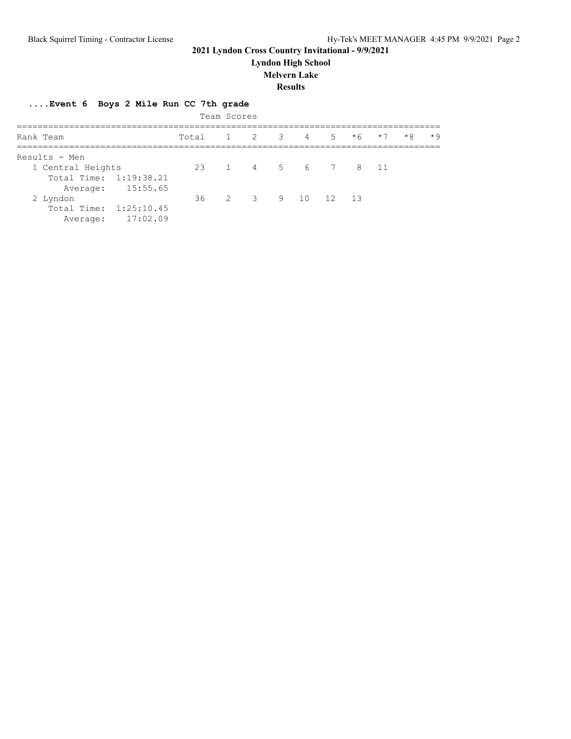**Lyndon High School**

#### **Melvern Lake**

**Results**

## **....Event 6 Boys 2 Mile Run CC 7th grade**

|                        |                   | Team Scores |                   |  |         |      |      |      |
|------------------------|-------------------|-------------|-------------------|--|---------|------|------|------|
| Rank Team              | Total             |             | 1 2 3 4           |  | $5 * 6$ | $*7$ | $*8$ | $*9$ |
| Results - Men          |                   |             |                   |  |         |      |      |      |
| 1 Central Heights      | 23 1 4 5 6 7 8 11 |             |                   |  |         |      |      |      |
| Total Time: 1:19:38.21 |                   |             |                   |  |         |      |      |      |
| Average: 15:55.65      |                   |             |                   |  |         |      |      |      |
| 2 Lyndon               |                   |             | 36 2 3 9 10 12 13 |  |         |      |      |      |
| Total Time: 1:25:10.45 |                   |             |                   |  |         |      |      |      |
| 17:02.09<br>Average:   |                   |             |                   |  |         |      |      |      |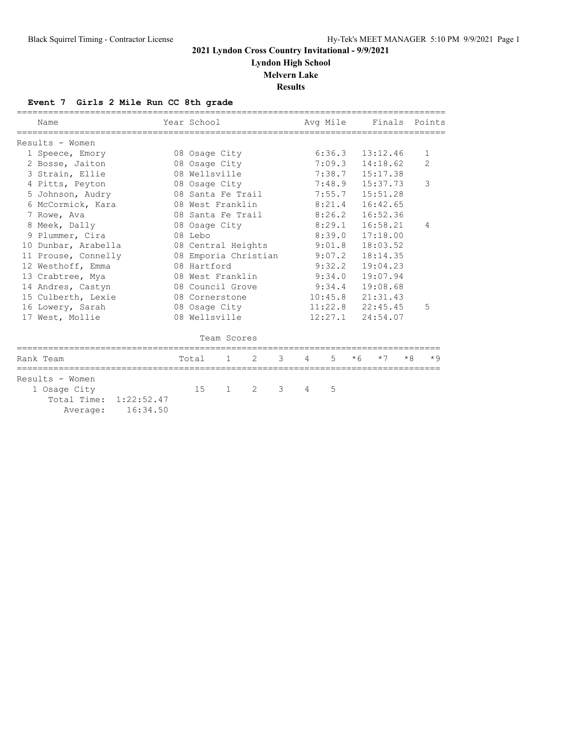**Lyndon High School**

**Melvern Lake**

**Results**

## **Event 7 Girls 2 Mile Run CC 8th grade**

| Name                |          |                                    | Year School          |              |   |   |   | Avg Mile |          | Finals   |      | Points         |
|---------------------|----------|------------------------------------|----------------------|--------------|---|---|---|----------|----------|----------|------|----------------|
| Results - Women     |          |                                    |                      |              |   |   |   |          |          |          |      |                |
| 1 Speece, Emory     |          |                                    | 08 Osage City        |              |   |   |   | 6:36.3   |          | 13:12.46 |      | $\mathbf{1}$   |
| 2 Bosse, Jaiton     |          |                                    | 08 Osage City        |              |   |   |   | 7:09.3   |          | 14:18.62 |      | $\overline{2}$ |
| 3 Strain, Ellie     |          |                                    | 08 Wellsville        |              |   |   |   | 7:38.7   | 15:17.38 |          |      |                |
| 4 Pitts, Peyton     |          |                                    | 08 Osage City        |              |   |   |   | 7:48.9   |          | 15:37.73 |      | 3              |
| 5 Johnson, Audry    |          |                                    | 08 Santa Fe Trail    |              |   |   |   | 7:55.7   |          | 15:51.28 |      |                |
| 6 McCormick, Kara   |          |                                    | 08 West Franklin     |              |   |   |   | 8:21.4   |          | 16:42.65 |      |                |
| 7 Rowe, Ava         |          |                                    | 08 Santa Fe Trail    |              |   |   |   | 8:26.2   |          | 16:52.36 |      |                |
| 8 Meek, Dally       |          |                                    | 08 Osage City        |              |   |   |   | 8:29.1   |          | 16:58.21 |      | 4              |
| 9 Plummer, Cira     |          |                                    | 08 Lebo              |              |   |   |   | 8:39.0   | 17:18.00 |          |      |                |
| 10 Dunbar, Arabella |          |                                    | 08 Central Heights   |              |   |   |   | 9:01.8   | 18:03.52 |          |      |                |
| 11 Prouse, Connelly |          |                                    | 08 Emporia Christian |              |   |   |   | 9:07.2   |          | 18:14.35 |      |                |
| 12 Westhoff, Emma   |          |                                    | 08 Hartford          |              |   |   |   | 9:32.2   |          | 19:04.23 |      |                |
| 13 Crabtree, Mya    |          |                                    | 08 West Franklin     |              |   |   |   | 9:34.0   |          | 19:07.94 |      |                |
| 14 Andres, Castyn   |          |                                    | 08 Council Grove     |              |   |   |   | 9:34.4   | 19:08.68 |          |      |                |
| 15 Culberth, Lexie  |          |                                    | 08 Cornerstone       |              |   |   |   | 10:45.8  | 21:31.43 |          |      |                |
| 16 Lowery, Sarah    |          |                                    | 08 Osage City        |              |   |   |   | 11:22.8  | 22:45.45 |          |      | 5              |
| 17 West, Mollie     |          |                                    | 08 Wellsville        |              |   |   |   | 12:27.1  | 24:54.07 |          |      |                |
|                     |          |                                    |                      | Team Scores  |   |   |   |          |          |          |      |                |
| Rank Team           |          |                                    | Total                | $\mathbf{1}$ | 2 | 3 | 4 | 5        | $*6$     | $*7$     | $*8$ | $*9$           |
| Results - Women     |          |                                    |                      |              |   |   |   |          |          |          |      |                |
| 1 Osage City        |          |                                    | 15                   | $\mathbf{1}$ | 2 | 3 | 4 | 5        |          |          |      |                |
|                     | Average: | Total Time: 1:22:52.47<br>16:34.50 |                      |              |   |   |   |          |          |          |      |                |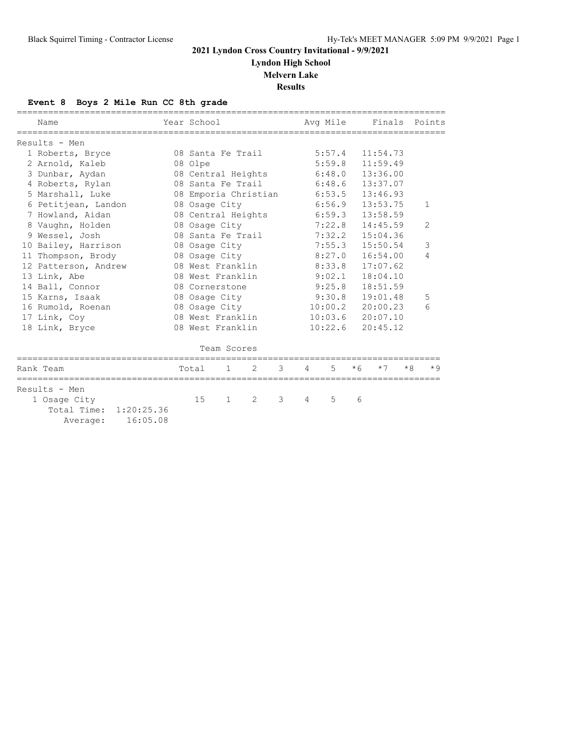**Lyndon High School**

#### **Melvern Lake**

**Results**

## **Event 8 Boys 2 Mile Run CC 8th grade**

| Name                                           | Year School |                      |   |   |   | Avg Mile |      |          |      | ======================================<br>Finals Points |
|------------------------------------------------|-------------|----------------------|---|---|---|----------|------|----------|------|---------------------------------------------------------|
| Results - Men                                  |             |                      |   |   |   |          |      |          |      |                                                         |
| 1 Roberts, Bryce                               |             | 08 Santa Fe Trail    |   |   |   | 5:57.4   |      | 11:54.73 |      |                                                         |
| 2 Arnold, Kaleb                                | 08 Olpe     |                      |   |   |   | 5:59.8   |      | 11:59.49 |      |                                                         |
| 3 Dunbar, Aydan                                |             | 08 Central Heights   |   |   |   | 6:48.0   |      | 13:36.00 |      |                                                         |
| 4 Roberts, Rylan                               |             | 08 Santa Fe Trail    |   |   |   | 6:48.6   |      | 13:37.07 |      |                                                         |
| 5 Marshall, Luke                               |             | 08 Emporia Christian |   |   |   | 6:53.5   |      | 13:46.93 |      |                                                         |
| 6 Petitjean, Landon                            |             | 08 Osage City        |   |   |   | 6:56.9   |      | 13:53.75 |      | 1                                                       |
| 7 Howland, Aidan                               |             | 08 Central Heights   |   |   |   | 6:59.3   |      | 13:58.59 |      |                                                         |
| 8 Vaughn, Holden                               |             | 08 Osage City        |   |   |   | 7:22.8   |      | 14:45.59 |      | $\overline{2}$                                          |
| 9 Wessel, Josh                                 |             | 08 Santa Fe Trail    |   |   |   | 7:32.2   |      | 15:04.36 |      |                                                         |
| 10 Bailey, Harrison                            |             | 08 Osage City        |   |   |   | 7:55.3   |      | 15:50.54 |      |                                                         |
| 11 Thompson, Brody                             |             | 08 Osage City        |   |   |   | 8:27.0   |      | 16:54.00 |      | 4                                                       |
| 12 Patterson, Andrew                           |             | 08 West Franklin     |   |   |   | 8:33.8   |      | 17:07.62 |      |                                                         |
| 13 Link, Abe                                   |             | 08 West Franklin     |   |   |   | 9:02.1   |      | 18:04.10 |      |                                                         |
| 14 Ball, Connor                                |             | 08 Cornerstone       |   |   |   | 9:25.8   |      | 18:51.59 |      |                                                         |
| 15 Karns, Isaak                                |             | 08 Osage City        |   |   |   | 9:30.8   |      | 19:01.48 |      | 5                                                       |
| 16 Rumold, Roenan                              |             | 08 Osaqe City        |   |   |   | 10:00.2  |      | 20:00.23 |      | 6                                                       |
| 17 Link, Coy                                   |             | 08 West Franklin     |   |   |   | 10:03.6  |      | 20:07.10 |      |                                                         |
| 18 Link, Bryce                                 |             | 08 West Franklin     |   |   |   | 10:22.6  |      | 20:45.12 |      |                                                         |
|                                                |             | Team Scores          |   |   |   |          |      |          |      |                                                         |
| Rank Team                                      | Total       | $\mathbf{1}$         | 2 | 3 | 4 | 5        | $*6$ | $*7$     | $*8$ | $*9$                                                    |
| Results - Men                                  |             |                      |   |   |   |          |      |          |      |                                                         |
| 1 Osage City                                   | 15          | $\mathbf{1}$         | 2 | 3 | 4 | 5        | 6    |          |      |                                                         |
| Total Time: 1:20:25.36<br>16:05.08<br>Average: |             |                      |   |   |   |          |      |          |      |                                                         |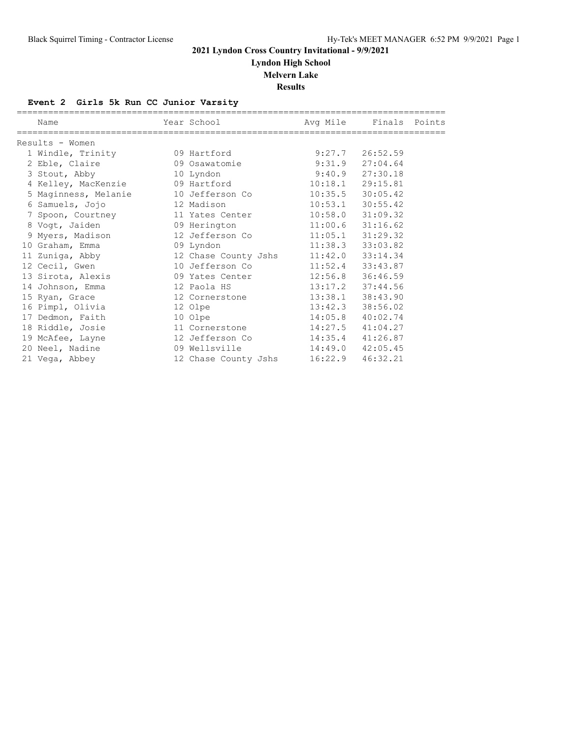**Lyndon High School**

**Melvern Lake**

**Results**

#### **Event 2 Girls 5k Run CC Junior Varsity**

| Name                                 | Year School          | Avg Mile | Finals Points        |  |
|--------------------------------------|----------------------|----------|----------------------|--|
| Results - Women                      |                      |          |                      |  |
| 1 Windle, Trinity                    | 09 Hartford          | 9:27.7   | 26:52.59             |  |
| 2 Eble, Claire                       | 09 Osawatomie        | 9:31.9   | 27:04.64             |  |
| 3 Stout, Abby                        | 10 Lyndon            | 9:40.9   | 27:30.18             |  |
| 4 Kelley, MacKenzie 69 Hartford      |                      | 10:18.1  | 29:15.81             |  |
| 5 Maginness, Melanie 10 Jefferson Co |                      |          | $10:35.5$ $30:05.42$ |  |
| 6 Samuels, Jojo                      | 12 Madison           | 10:53.1  | 30:55.42             |  |
| 7 Spoon, Courtney                    | 11 Yates Center      | 10:58.0  | 31:09.32             |  |
| 8 Vogt, Jaiden                       | 09 Herington         |          | $11:00.6$ $31:16.62$ |  |
| 9 Myers, Madison                     | 12 Jefferson Co      |          | $11:05.1$ $31:29.32$ |  |
| 10 Graham, Emma                      | 09 Lyndon            | 11:38.3  | 33:03.82             |  |
| 11 Zuniga, Abby 12 Chase County Jshs |                      |          | $11:42.0$ $33:14.34$ |  |
| 12 Cecil, Gwen                       | 10 Jefferson Co      | 11:52.4  | 33:43.87             |  |
| 13 Sirota, Alexis                    | 09 Yates Center      |          | 12:56.8 36:46.59     |  |
| 14 Johnson, Emma                     | 12 Paola HS          | 13:17.2  | 37:44.56             |  |
| 15 Ryan, Grace                       | 12 Cornerstone       | 13:38.1  | 38:43.90             |  |
| 16 Pimpl, Olivia                     | 12 Olpe              | 13:42.3  | 38:56.02             |  |
| 17 Dedmon, Faith                     | 10 Olpe              | 14:05.8  | 40:02.74             |  |
| 18 Riddle, Josie                     | 11 Cornerstone       | 14:27.5  | 41:04.27             |  |
| 19 McAfee, Layne                     | 12 Jefferson Co      |          | 14:35.4 41:26.87     |  |
| 20 Neel, Nadine                      | 09 Wellsville        | 14:49.0  | 42:05.45             |  |
| 21 Vega, Abbey                       | 12 Chase County Jshs | 16:22.9  | 46:32.21             |  |
|                                      |                      |          |                      |  |